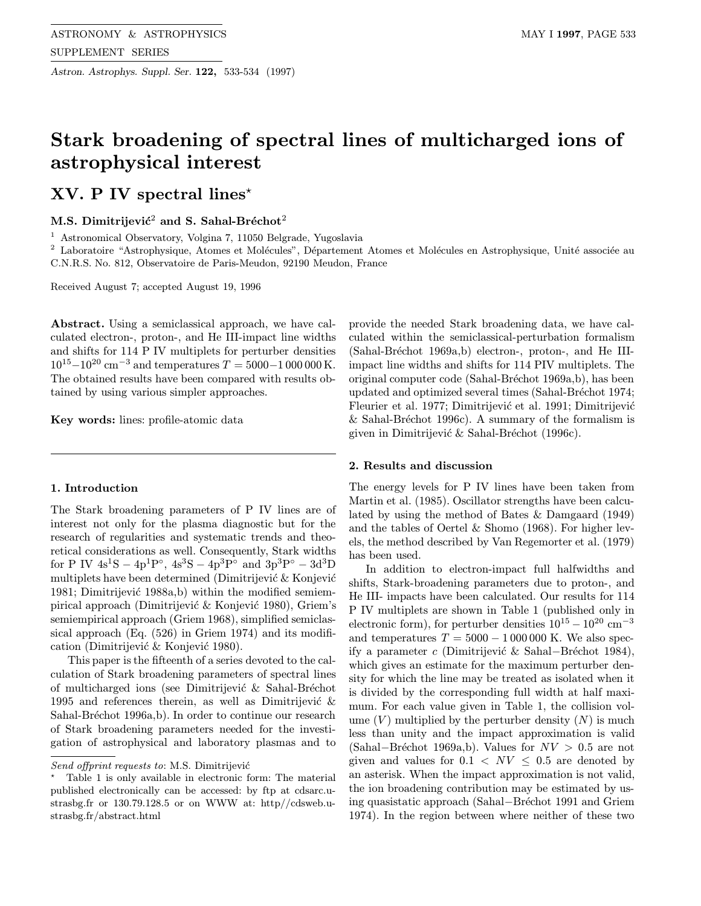Astron. Astrophys. Suppl. Ser. 122, 533-534 (1997)

# Stark broadening of spectral lines of multicharged ions of astrophysical interest

## $XV$ . P IV spectral lines<sup>\*</sup>

M.S. Dimitrijević<sup>2</sup> and S. Sahal-Bréchot<sup>2</sup>

<sup>1</sup> Astronomical Observatory, Volgina 7, 11050 Belgrade, Yugoslavia

 $2$  Laboratoire "Astrophysique, Atomes et Molécules", Département Atomes et Molécules en Astrophysique, Unité associée au C.N.R.S. No. 812, Observatoire de Paris-Meudon, 92190 Meudon, France

Received August 7; accepted August 19, 1996

Abstract. Using a semiclassical approach, we have calculated electron-, proton-, and He III-impact line widths and shifts for 114 P IV multiplets for perturber densities  $10^{15}-10^{20}$  cm<sup>-3</sup> and temperatures  $T = 5000-1000000$  K. The obtained results have been compared with results obtained by using various simpler approaches.

Key words: lines: profile-atomic data

#### 1. Introduction

The Stark broadening parameters of P IV lines are of interest not only for the plasma diagnostic but for the research of regularities and systematic trends and theoretical considerations as well. Consequently, Stark widths for P IV  $4s^1S - 4p^1P^\circ$ ,  $4s^3S - 4p^3P^\circ$  and  $3p^3P^\circ - 3d^3D$ multiplets have been determined (Dimitrijević  $\&$  Konjević 1981; Dimitrijević 1988a,b) within the modified semiempirical approach (Dimitrijević & Konjević 1980), Griem's semiempirical approach (Griem 1968), simplified semiclassical approach (Eq. (526) in Griem 1974) and its modification (Dimitrijević & Konjević 1980).

This paper is the fifteenth of a series devoted to the calculation of Stark broadening parameters of spectral lines of multicharged ions (see Dimitrijević & Sahal-Bréchot 1995 and references therein, as well as Dimitrijević  $\&$ Sahal-Bréchot 1996a,b). In order to continue our research of Stark broadening parameters needed for the investigation of astrophysical and laboratory plasmas and to

provide the needed Stark broadening data, we have calculated within the semiclassical-perturbation formalism (Sahal-Bréchot 1969a,b) electron-, proton-, and He IIIimpact line widths and shifts for 114 PIV multiplets. The original computer code (Sahal-Bréchot 1969a,b), has been updated and optimized several times (Sahal-Bréchot 1974; Fleurier et al. 1977; Dimitrijević et al. 1991; Dimitrijević & Sahal-Bréchot 1996c). A summary of the formalism is given in Dimitrijević & Sahal-Bréchot (1996c).

### 2. Results and discussion

The energy levels for P IV lines have been taken from Martin et al. (1985). Oscillator strengths have been calculated by using the method of Bates & Damgaard (1949) and the tables of Oertel & Shomo (1968). For higher levels, the method described by Van Regemorter et al. (1979) has been used.

In addition to electron-impact full halfwidths and shifts, Stark-broadening parameters due to proton-, and He III- impacts have been calculated. Our results for 114 P IV multiplets are shown in Table 1 (published only in electronic form), for perturber densities  $10^{15} - 10^{20}$  cm<sup>-3</sup> and temperatures  $T = 5000 - 1000000$  K. We also specify a parameter c (Dimitrijević & Sahal–Bréchot 1984), which gives an estimate for the maximum perturber density for which the line may be treated as isolated when it is divided by the corresponding full width at half maximum. For each value given in Table 1, the collision volume  $(V)$  multiplied by the perturber density  $(N)$  is much less than unity and the impact approximation is valid (Sahal–Bréchot 1969a,b). Values for  $NV > 0.5$  are not given and values for  $0.1 \lt N V \leq 0.5$  are denoted by an asterisk. When the impact approximation is not valid, the ion broadening contribution may be estimated by using quasistatic approach (Sahal−Br´echot 1991 and Griem 1974). In the region between where neither of these two

Send offprint requests to: M.S. Dimitrijević

<sup>?</sup> Table 1 is only available in electronic form: The material published electronically can be accessed: by ftp at cdsarc.ustrasbg.fr or 130.79.128.5 or on WWW at: http//cdsweb.ustrasbg.fr/abstract.html